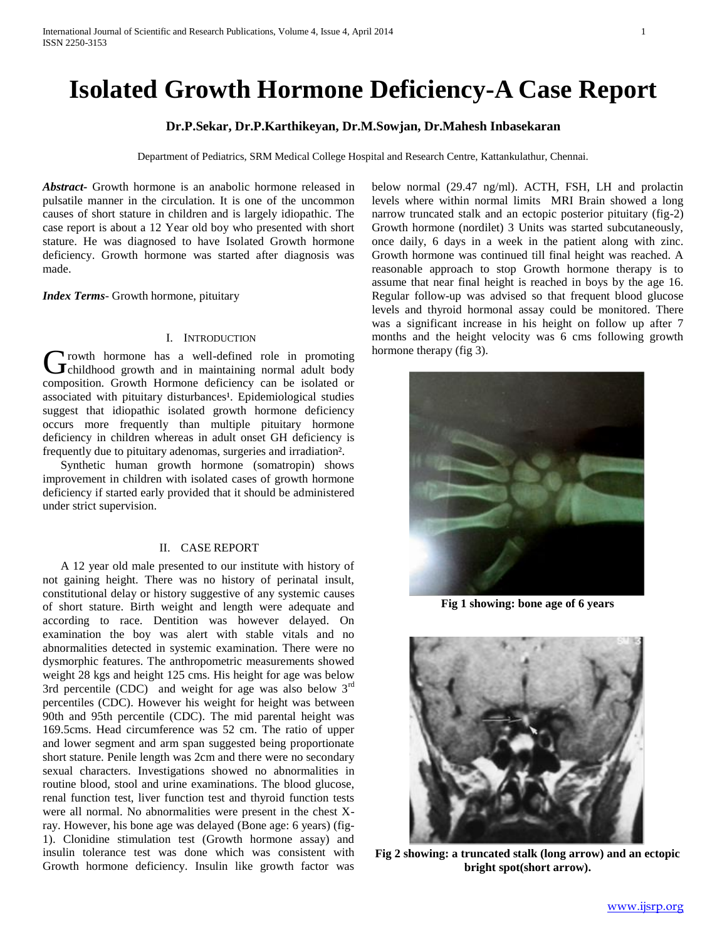# **Isolated Growth Hormone Deficiency-A Case Report**

# **Dr.P.Sekar, Dr.P.Karthikeyan, Dr.M.Sowjan, Dr.Mahesh Inbasekaran**

Department of Pediatrics, SRM Medical College Hospital and Research Centre, Kattankulathur, Chennai.

*Abstract***-** Growth hormone is an anabolic hormone released in pulsatile manner in the circulation. It is one of the uncommon causes of short stature in children and is largely idiopathic. The case report is about a 12 Year old boy who presented with short stature. He was diagnosed to have Isolated Growth hormone deficiency. Growth hormone was started after diagnosis was made.

*Index Terms*- Growth hormone, pituitary

## I. INTRODUCTION

**Trowth hormone has a well-defined role in promoting** Growth hormone has a well-defined role in promoting<br>
Growth and in maintaining normal adult body composition. Growth Hormone deficiency can be isolated or associated with pituitary disturbances<sup>1</sup>. Epidemiological studies suggest that idiopathic isolated growth hormone deficiency occurs more frequently than multiple pituitary hormone deficiency in children whereas in adult onset GH deficiency is frequently due to pituitary adenomas, surgeries and irradiation².

 Synthetic human growth hormone (somatropin) shows improvement in children with isolated cases of growth hormone deficiency if started early provided that it should be administered under strict supervision.

## II. CASE REPORT

 A 12 year old male presented to our institute with history of not gaining height. There was no history of perinatal insult, constitutional delay or history suggestive of any systemic causes of short stature. Birth weight and length were adequate and according to race. Dentition was however delayed. On examination the boy was alert with stable vitals and no abnormalities detected in systemic examination. There were no dysmorphic features. The anthropometric measurements showed weight 28 kgs and height 125 cms. His height for age was below 3rd percentile (CDC) and weight for age was also below 3<sup>rd</sup> percentiles (CDC). However his weight for height was between 90th and 95th percentile (CDC). The mid parental height was 169.5cms. Head circumference was 52 cm. The ratio of upper and lower segment and arm span suggested being proportionate short stature. Penile length was 2cm and there were no secondary sexual characters. Investigations showed no abnormalities in routine blood, stool and urine examinations. The blood glucose, renal function test, liver function test and thyroid function tests were all normal. No abnormalities were present in the chest Xray. However, his bone age was delayed (Bone age: 6 years) (fig-1). Clonidine stimulation test (Growth hormone assay) and insulin tolerance test was done which was consistent with Growth hormone deficiency. Insulin like growth factor was

below normal (29.47 ng/ml). ACTH, FSH, LH and prolactin levels where within normal limits MRI Brain showed a long narrow truncated stalk and an ectopic posterior pituitary (fig-2) Growth hormone (nordilet) 3 Units was started subcutaneously, once daily, 6 days in a week in the patient along with zinc. Growth hormone was continued till final height was reached. A reasonable approach to stop Growth hormone therapy is to assume that near final height is reached in boys by the age 16. Regular follow-up was advised so that frequent blood glucose levels and thyroid hormonal assay could be monitored. There was a significant increase in his height on follow up after 7 months and the height velocity was 6 cms following growth hormone therapy (fig 3).



**Fig 1 showing: bone age of 6 years**



**Fig 2 showing: a truncated stalk (long arrow) and an ectopic bright spot(short arrow).**